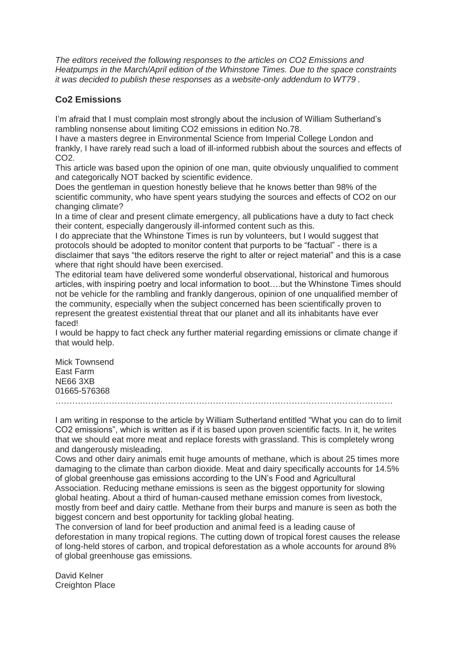*The editors received the following responses to the articles on CO2 Emissions and Heatpumps in the March/April edition of the Whinstone Times. Due to the space constraints it was decided to publish these responses as a website-only addendum to WT79 .*

## **Co2 Emissions**

I'm afraid that I must complain most strongly about the inclusion of William Sutherland's rambling nonsense about limiting CO2 emissions in edition No.78.

I have a masters degree in Environmental Science from Imperial College London and frankly, I have rarely read such a load of ill-informed rubbish about the sources and effects of CO<sub>2</sub>

This article was based upon the opinion of one man, quite obviously unqualified to comment and categorically NOT backed by scientific evidence.

Does the gentleman in question honestly believe that he knows better than 98% of the scientific community, who have spent years studying the sources and effects of CO2 on our changing climate?

In a time of clear and present climate emergency, all publications have a duty to fact check their content, especially dangerously ill-informed content such as this.

I do appreciate that the Whinstone Times is run by volunteers, but I would suggest that protocols should be adopted to monitor content that purports to be "factual" - there is a disclaimer that says "the editors reserve the right to alter or reject material" and this is a case where that right should have been exercised.

The editorial team have delivered some wonderful observational, historical and humorous articles, with inspiring poetry and local information to boot….but the Whinstone Times should not be vehicle for the rambling and frankly dangerous, opinion of one unqualified member of the community, especially when the subject concerned has been scientifically proven to represent the greatest existential threat that our planet and all its inhabitants have ever faced!

I would be happy to fact check any further material regarding emissions or climate change if that would help.

Mick Townsend East Farm NE66 3XB 01665-576368

I am writing in response to the article by William Sutherland entitled "What you can do to limit CO2 emissions", which is written as if it is based upon proven scientific facts. In it, he writes that we should eat more meat and replace forests with grassland. This is completely wrong and dangerously misleading.

Cows and other dairy animals emit huge amounts of methane, which is about 25 times more damaging to the climate than carbon dioxide. Meat and dairy specifically accounts for 14.5% of global greenhouse gas emissions according to the UN's Food and Agricultural Association. Reducing methane emissions is seen as the biggest opportunity for slowing global heating. About a third of human-caused methane emission comes from livestock, mostly from beef and dairy cattle. Methane from their burps and manure is seen as both the biggest concern and best opportunity for tackling global heating.

The conversion of land for beef production and animal feed is a leading cause of deforestation in many tropical regions. The cutting down of tropical forest causes the release of long-held stores of carbon, and tropical deforestation as a whole accounts for around 8% of global greenhouse gas emissions.

David Kelner **Creighton Place**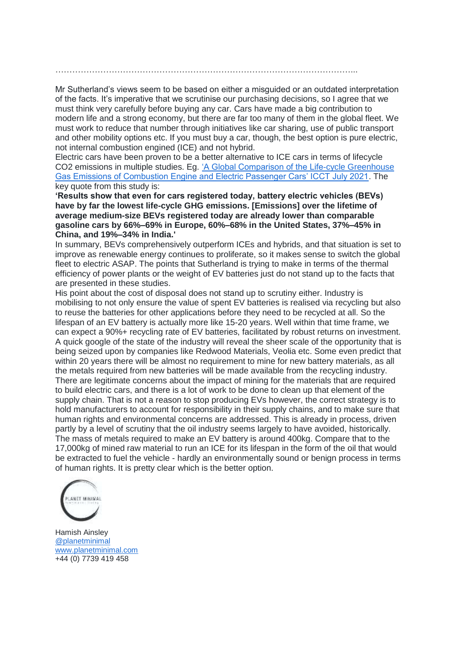……………………………………………………………………………………………...

Mr Sutherland's views seem to be based on either a misguided or an outdated interpretation of the facts. It's imperative that we scrutinise our purchasing decisions, so I agree that we must think very carefully before buying any car. Cars have made a big contribution to modern life and a strong economy, but there are far too many of them in the global fleet. We must work to reduce that number through initiatives like car sharing, use of public transport and other mobility options etc. If you must buy a car, though, the best option is pure electric, not internal combustion engined (ICE) and not hybrid.

Electric cars have been proven to be a better alternative to ICE cars in terms of lifecycle CO2 emissions in multiple studies. Eg. ['A Global Comparison of the Life-cycle Greenhouse](https://theicct.org/publication/a-global-comparison-of-the-life-cycle-greenhouse-gas-emissions-of-combustion-engine-and-electric-passenger-cars/)  [Gas Emissions of Combustion Engine and Electric Passenger Cars' ICCT July 2021.](https://theicct.org/publication/a-global-comparison-of-the-life-cycle-greenhouse-gas-emissions-of-combustion-engine-and-electric-passenger-cars/) The key quote from this study is:

**'Results show that even for cars registered today, battery electric vehicles (BEVs) have by far the lowest life-cycle GHG emissions. [Emissions] over the lifetime of average medium-size BEVs registered today are already lower than comparable gasoline cars by 66%–69% in Europe, 60%–68% in the United States, 37%–45% in China, and 19%–34% in India.'**

In summary, BEVs comprehensively outperform ICEs and hybrids, and that situation is set to improve as renewable energy continues to proliferate, so it makes sense to switch the global fleet to electric ASAP. The points that Sutherland is trying to make in terms of the thermal efficiency of power plants or the weight of EV batteries just do not stand up to the facts that are presented in these studies.

His point about the cost of disposal does not stand up to scrutiny either. Industry is mobilising to not only ensure the value of spent EV batteries is realised via recycling but also to reuse the batteries for other applications before they need to be recycled at all. So the lifespan of an EV battery is actually more like 15-20 years. Well within that time frame, we can expect a 90%+ recycling rate of EV batteries, facilitated by robust returns on investment. A quick google of the state of the industry will reveal the sheer scale of the opportunity that is being seized upon by companies like Redwood Materials, Veolia etc. Some even predict that within 20 years there will be almost no requirement to mine for new battery materials, as all the metals required from new batteries will be made available from the recycling industry. There are legitimate concerns about the impact of mining for the materials that are required to build electric cars, and there is a lot of work to be done to clean up that element of the supply chain. That is not a reason to stop producing EVs however, the correct strategy is to hold manufacturers to account for responsibility in their supply chains, and to make sure that human rights and environmental concerns are addressed. This is already in process, driven partly by a level of scrutiny that the oil industry seems largely to have avoided, historically. The mass of metals required to make an EV battery is around 400kg. Compare that to the 17,000kg of mined raw material to run an ICE for its lifespan in the form of the oil that would be extracted to fuel the vehicle - hardly an environmentally sound or benign process in terms of human rights. It is pretty clear which is the better option.



Hamish Ainsley [@planetminimal](https://www.instagram.com/planetminimal/) [www.planetminimal.com](http://www.planetminimal.com/) +44 (0) 7739 419 458